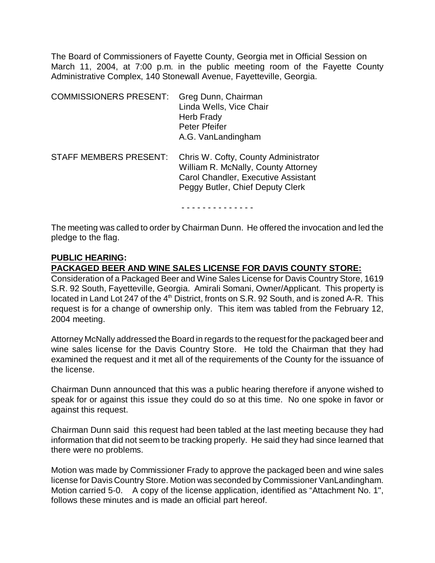The Board of Commissioners of Fayette County, Georgia met in Official Session on March 11, 2004, at 7:00 p.m. in the public meeting room of the Fayette County Administrative Complex, 140 Stonewall Avenue, Fayetteville, Georgia.

| <b>COMMISSIONERS PRESENT:</b> | Greg Dunn, Chairman<br>Linda Wells, Vice Chair<br>Herb Frady<br>Peter Pfeifer<br>A.G. VanLandingham                                                           |
|-------------------------------|---------------------------------------------------------------------------------------------------------------------------------------------------------------|
| <b>STAFF MEMBERS PRESENT:</b> | Chris W. Cofty, County Administrator<br>William R. McNally, County Attorney<br><b>Carol Chandler, Executive Assistant</b><br>Peggy Butler, Chief Deputy Clerk |

- - - - - - - - - - - - - -

The meeting was called to order by Chairman Dunn. He offered the invocation and led the pledge to the flag.

## **PUBLIC HEARING:**

## **PACKAGED BEER AND WINE SALES LICENSE FOR DAVIS COUNTY STORE:**

Consideration of a Packaged Beer and Wine Sales License for Davis Country Store, 1619 S.R. 92 South, Fayetteville, Georgia. Amirali Somani, Owner/Applicant. This property is located in Land Lot 247 of the 4<sup>th</sup> District, fronts on S.R. 92 South, and is zoned A-R. This request is for a change of ownership only. This item was tabled from the February 12, 2004 meeting.

Attorney McNally addressed the Board in regards to the request for the packaged beer and wine sales license for the Davis Country Store. He told the Chairman that they had examined the request and it met all of the requirements of the County for the issuance of the license.

Chairman Dunn announced that this was a public hearing therefore if anyone wished to speak for or against this issue they could do so at this time. No one spoke in favor or against this request.

Chairman Dunn said this request had been tabled at the last meeting because they had information that did not seem to be tracking properly. He said they had since learned that there were no problems.

Motion was made by Commissioner Frady to approve the packaged been and wine sales license for Davis Country Store. Motion was seconded by Commissioner VanLandingham. Motion carried 5-0. A copy of the license application, identified as "Attachment No. 1", follows these minutes and is made an official part hereof.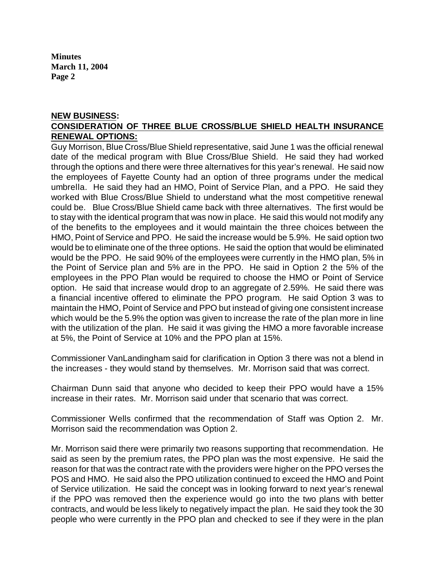#### **NEW BUSINESS: CONSIDERATION OF THREE BLUE CROSS/BLUE SHIELD HEALTH INSURANCE RENEWAL OPTIONS:**

Guy Morrison, Blue Cross/Blue Shield representative, said June 1 was the official renewal date of the medical program with Blue Cross/Blue Shield. He said they had worked through the options and there were three alternatives for this year's renewal. He said now the employees of Fayette County had an option of three programs under the medical umbrella. He said they had an HMO, Point of Service Plan, and a PPO. He said they worked with Blue Cross/Blue Shield to understand what the most competitive renewal could be. Blue Cross/Blue Shield came back with three alternatives. The first would be to stay with the identical program that was now in place. He said this would not modify any of the benefits to the employees and it would maintain the three choices between the HMO, Point of Service and PPO. He said the increase would be 5.9%. He said option two would be to eliminate one of the three options. He said the option that would be eliminated would be the PPO. He said 90% of the employees were currently in the HMO plan, 5% in the Point of Service plan and 5% are in the PPO. He said in Option 2 the 5% of the employees in the PPO Plan would be required to choose the HMO or Point of Service option. He said that increase would drop to an aggregate of 2.59%. He said there was a financial incentive offered to eliminate the PPO program. He said Option 3 was to maintain the HMO, Point of Service and PPO but instead of giving one consistent increase which would be the 5.9% the option was given to increase the rate of the plan more in line with the utilization of the plan. He said it was giving the HMO a more favorable increase at 5%, the Point of Service at 10% and the PPO plan at 15%.

Commissioner VanLandingham said for clarification in Option 3 there was not a blend in the increases - they would stand by themselves. Mr. Morrison said that was correct.

Chairman Dunn said that anyone who decided to keep their PPO would have a 15% increase in their rates. Mr. Morrison said under that scenario that was correct.

Commissioner Wells confirmed that the recommendation of Staff was Option 2. Mr. Morrison said the recommendation was Option 2.

Mr. Morrison said there were primarily two reasons supporting that recommendation. He said as seen by the premium rates, the PPO plan was the most expensive. He said the reason for that was the contract rate with the providers were higher on the PPO verses the POS and HMO. He said also the PPO utilization continued to exceed the HMO and Point of Service utilization. He said the concept was in looking forward to next year's renewal if the PPO was removed then the experience would go into the two plans with better contracts, and would be less likely to negatively impact the plan. He said they took the 30 people who were currently in the PPO plan and checked to see if they were in the plan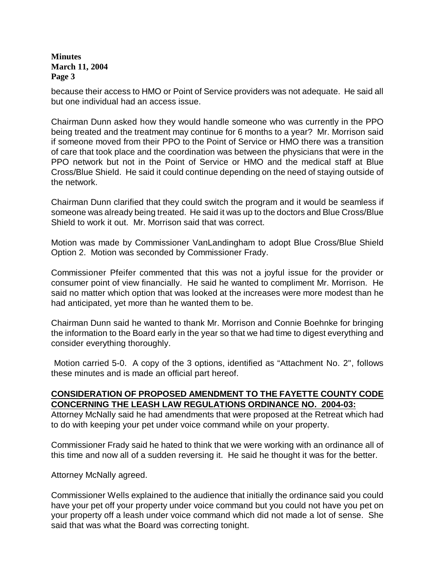because their access to HMO or Point of Service providers was not adequate. He said all but one individual had an access issue.

Chairman Dunn asked how they would handle someone who was currently in the PPO being treated and the treatment may continue for 6 months to a year? Mr. Morrison said if someone moved from their PPO to the Point of Service or HMO there was a transition of care that took place and the coordination was between the physicians that were in the PPO network but not in the Point of Service or HMO and the medical staff at Blue Cross/Blue Shield. He said it could continue depending on the need of staying outside of the network.

Chairman Dunn clarified that they could switch the program and it would be seamless if someone was already being treated. He said it was up to the doctors and Blue Cross/Blue Shield to work it out. Mr. Morrison said that was correct.

Motion was made by Commissioner VanLandingham to adopt Blue Cross/Blue Shield Option 2. Motion was seconded by Commissioner Frady.

Commissioner Pfeifer commented that this was not a joyful issue for the provider or consumer point of view financially. He said he wanted to compliment Mr. Morrison. He said no matter which option that was looked at the increases were more modest than he had anticipated, yet more than he wanted them to be.

Chairman Dunn said he wanted to thank Mr. Morrison and Connie Boehnke for bringing the information to the Board early in the year so that we had time to digest everything and consider everything thoroughly.

Motion carried 5-0. A copy of the 3 options, identified as "Attachment No. 2", follows these minutes and is made an official part hereof.

### **CONSIDERATION OF PROPOSED AMENDMENT TO THE FAYETTE COUNTY CODE CONCERNING THE LEASH LAW REGULATIONS ORDINANCE NO. 2004-03:**

Attorney McNally said he had amendments that were proposed at the Retreat which had to do with keeping your pet under voice command while on your property.

Commissioner Frady said he hated to think that we were working with an ordinance all of this time and now all of a sudden reversing it. He said he thought it was for the better.

Attorney McNally agreed.

Commissioner Wells explained to the audience that initially the ordinance said you could have your pet off your property under voice command but you could not have you pet on your property off a leash under voice command which did not made a lot of sense. She said that was what the Board was correcting tonight.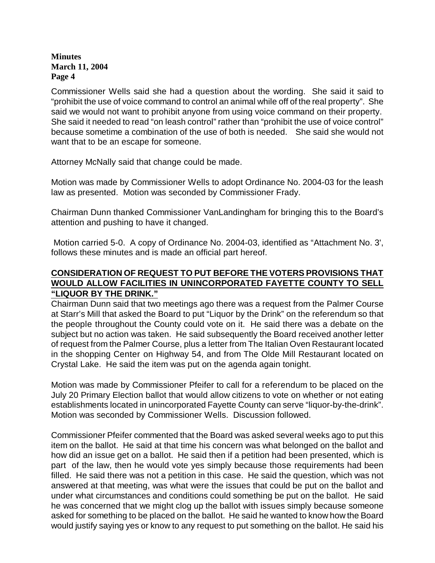Commissioner Wells said she had a question about the wording. She said it said to "prohibit the use of voice command to control an animal while off of the real property". She said we would not want to prohibit anyone from using voice command on their property. She said it needed to read "on leash control" rather than "prohibit the use of voice control" because sometime a combination of the use of both is needed. She said she would not want that to be an escape for someone.

Attorney McNally said that change could be made.

Motion was made by Commissioner Wells to adopt Ordinance No. 2004-03 for the leash law as presented. Motion was seconded by Commissioner Frady.

Chairman Dunn thanked Commissioner VanLandingham for bringing this to the Board's attention and pushing to have it changed.

 Motion carried 5-0. A copy of Ordinance No. 2004-03, identified as "Attachment No. 3', follows these minutes and is made an official part hereof.

## **CONSIDERATION OF REQUEST TO PUT BEFORE THE VOTERS PROVISIONS THAT WOULD ALLOW FACILITIES IN UNINCORPORATED FAYETTE COUNTY TO SELL "LIQUOR BY THE DRINK."**

Chairman Dunn said that two meetings ago there was a request from the Palmer Course at Starr's Mill that asked the Board to put "Liquor by the Drink" on the referendum so that the people throughout the County could vote on it. He said there was a debate on the subject but no action was taken. He said subsequently the Board received another letter of request from the Palmer Course, plus a letter from The Italian Oven Restaurant located in the shopping Center on Highway 54, and from The Olde Mill Restaurant located on Crystal Lake. He said the item was put on the agenda again tonight.

Motion was made by Commissioner Pfeifer to call for a referendum to be placed on the July 20 Primary Election ballot that would allow citizens to vote on whether or not eating establishments located in unincorporated Fayette County can serve "liquor-by-the-drink". Motion was seconded by Commissioner Wells. Discussion followed.

Commissioner Pfeifer commented that the Board was asked several weeks ago to put this item on the ballot. He said at that time his concern was what belonged on the ballot and how did an issue get on a ballot. He said then if a petition had been presented, which is part of the law, then he would vote yes simply because those requirements had been filled. He said there was not a petition in this case. He said the question, which was not answered at that meeting, was what were the issues that could be put on the ballot and under what circumstances and conditions could something be put on the ballot. He said he was concerned that we might clog up the ballot with issues simply because someone asked for something to be placed on the ballot. He said he wanted to know how the Board would justify saying yes or know to any request to put something on the ballot. He said his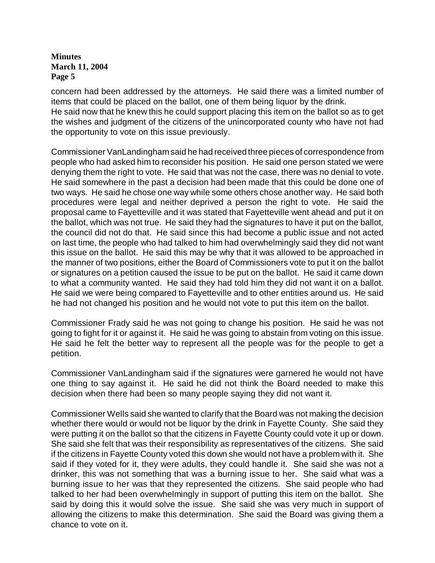concern had been addressed by the attorneys. He said there was a limited number of items that could be placed on the ballot, one of them being liquor by the drink. He said now that he knew this he could support placing this item on the ballot so as to get the wishes and judgment of the citizens of the unincorporated county who have not had the opportunity to vote on this issue previously.

Commissioner VanLandingham said he had received three pieces of correspondence from people who had asked him to reconsider his position. He said one person stated we were denying them the right to vote. He said that was not the case, there was no denial to vote. He said somewhere in the past a decision had been made that this could be done one of two ways. He said he chose one way while some others chose another way. He said both procedures were legal and neither deprived a person the right to vote. He said the proposal came to Fayetteville and it was stated that Fayetteville went ahead and put it on the ballot, which was not true. He said they had the signatures to have it put on the ballot, the council did not do that. He said since this had become a public issue and not acted on last time, the people who had talked to him had overwhelmingly said they did not want this issue on the ballot. He said this may be why that it was allowed to be approached in the manner of two positions, either the Board of Commissioners vote to put it on the ballot or signatures on a petition caused the issue to be put on the ballot. He said it came down to what a community wanted. He said they had told him they did not want it on a ballot. He said we were being compared to Fayetteville and to other entities around us. He said he had not changed his position and he would not vote to put this item on the ballot.

Commissioner Frady said he was not going to change his position. He said he was not going to fight for it or against it. He said he was going to abstain from voting on this issue. He said he felt the better way to represent all the people was for the people to get a petition.

Commissioner VanLandingham said if the signatures were garnered he would not have one thing to say against it. He said he did not think the Board needed to make this decision when there had been so many people saying they did not want it.

Commissioner Wells said she wanted to clarify that the Board was not making the decision whether there would or would not be liquor by the drink in Fayette County. She said they were putting it on the ballot so that the citizens in Fayette County could vote it up or down. She said she felt that was their responsibility as representatives of the citizens. She said if the citizens in Fayette County voted this down she would not have a problem with it. She said if they voted for it, they were adults, they could handle it. She said she was not a drinker, this was not something that was a burning issue to her. She said what was a burning issue to her was that they represented the citizens. She said people who had talked to her had been overwhelmingly in support of putting this item on the ballot. She said by doing this it would solve the issue. She said she was very much in support of allowing the citizens to make this determination. She said the Board was giving them a chance to vote on it.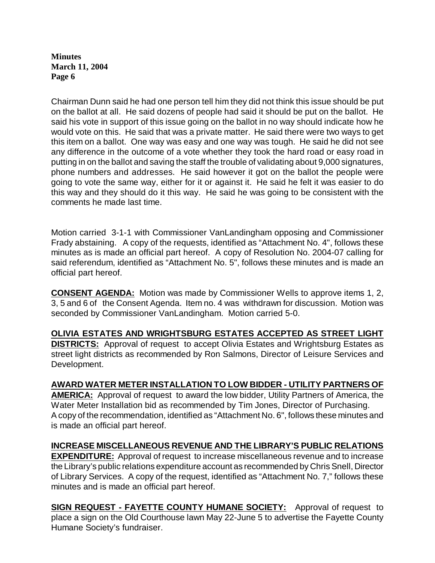Chairman Dunn said he had one person tell him they did not think this issue should be put on the ballot at all. He said dozens of people had said it should be put on the ballot. He said his vote in support of this issue going on the ballot in no way should indicate how he would vote on this. He said that was a private matter. He said there were two ways to get this item on a ballot. One way was easy and one way was tough. He said he did not see any difference in the outcome of a vote whether they took the hard road or easy road in putting in on the ballot and saving the staff the trouble of validating about 9,000 signatures, phone numbers and addresses. He said however it got on the ballot the people were going to vote the same way, either for it or against it. He said he felt it was easier to do this way and they should do it this way. He said he was going to be consistent with the comments he made last time.

Motion carried 3-1-1 with Commissioner VanLandingham opposing and Commissioner Frady abstaining. A copy of the requests, identified as "Attachment No. 4", follows these minutes as is made an official part hereof. A copy of Resolution No. 2004-07 calling for said referendum, identified as "Attachment No. 5", follows these minutes and is made an official part hereof.

**CONSENT AGENDA:** Motion was made by Commissioner Wells to approve items 1, 2, 3, 5 and 6 of the Consent Agenda. Item no. 4 was withdrawn for discussion. Motion was seconded by Commissioner VanLandingham. Motion carried 5-0.

**OLIVIA ESTATES AND WRIGHTSBURG ESTATES ACCEPTED AS STREET LIGHT DISTRICTS:** Approval of request to accept Olivia Estates and Wrightsburg Estates as street light districts as recommended by Ron Salmons, Director of Leisure Services and Development.

### **AWARD WATER METER INSTALLATION TO LOW BIDDER - UTILITY PARTNERS OF**

**AMERICA:** Approval of request to award the low bidder, Utility Partners of America, the Water Meter Installation bid as recommended by Tim Jones, Director of Purchasing. A copy of the recommendation, identified as "Attachment No. 6", follows these minutes and is made an official part hereof.

# **INCREASE MISCELLANEOUS REVENUE AND THE LIBRARY'S PUBLIC RELATIONS**

**EXPENDITURE:** Approval of request to increase miscellaneous revenue and to increase the Library's public relations expenditure account as recommended by Chris Snell, Director of Library Services. A copy of the request, identified as "Attachment No. 7," follows these minutes and is made an official part hereof.

**SIGN REQUEST - FAYETTE COUNTY HUMANE SOCIETY:** Approval of request to place a sign on the Old Courthouse lawn May 22-June 5 to advertise the Fayette County Humane Society's fundraiser.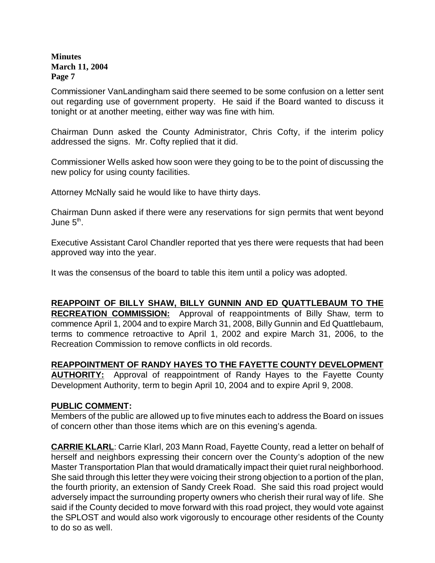Commissioner VanLandingham said there seemed to be some confusion on a letter sent out regarding use of government property. He said if the Board wanted to discuss it tonight or at another meeting, either way was fine with him.

Chairman Dunn asked the County Administrator, Chris Cofty, if the interim policy addressed the signs. Mr. Cofty replied that it did.

Commissioner Wells asked how soon were they going to be to the point of discussing the new policy for using county facilities.

Attorney McNally said he would like to have thirty days.

Chairman Dunn asked if there were any reservations for sign permits that went beyond June 5<sup>th</sup>.

Executive Assistant Carol Chandler reported that yes there were requests that had been approved way into the year.

It was the consensus of the board to table this item until a policy was adopted.

### **REAPPOINT OF BILLY SHAW, BILLY GUNNIN AND ED QUATTLEBAUM TO THE RECREATION COMMISSION:** Approval of reappointments of Billy Shaw, term to commence April 1, 2004 and to expire March 31, 2008, Billy Gunnin and Ed Quattlebaum, terms to commence retroactive to April 1, 2002 and expire March 31, 2006, to the Recreation Commission to remove conflicts in old records.

# **REAPPOINTMENT OF RANDY HAYES TO THE FAYETTE COUNTY DEVELOPMENT**

**AUTHORITY:** Approval of reappointment of Randy Hayes to the Fayette County Development Authority, term to begin April 10, 2004 and to expire April 9, 2008.

### **PUBLIC COMMENT:**

Members of the public are allowed up to five minutes each to address the Board on issues of concern other than those items which are on this evening's agenda.

**CARRIE KLARL**: Carrie Klarl, 203 Mann Road, Fayette County, read a letter on behalf of herself and neighbors expressing their concern over the County's adoption of the new Master Transportation Plan that would dramatically impact their quiet rural neighborhood. She said through this letter they were voicing their strong objection to a portion of the plan, the fourth priority, an extension of Sandy Creek Road. She said this road project would adversely impact the surrounding property owners who cherish their rural way of life. She said if the County decided to move forward with this road project, they would vote against the SPLOST and would also work vigorously to encourage other residents of the County to do so as well.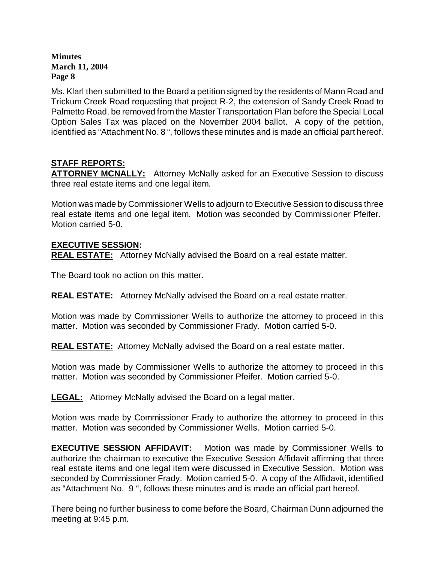Ms. Klarl then submitted to the Board a petition signed by the residents of Mann Road and Trickum Creek Road requesting that project R-2, the extension of Sandy Creek Road to Palmetto Road, be removed from the Master Transportation Plan before the Special Local Option Sales Tax was placed on the November 2004 ballot. A copy of the petition, identified as "Attachment No. 8 ", follows these minutes and is made an official part hereof.

# **STAFF REPORTS:**

**ATTORNEY MCNALLY:** Attorney McNally asked for an Executive Session to discuss three real estate items and one legal item.

Motion was made by Commissioner Wells to adjourn to Executive Session to discuss three real estate items and one legal item. Motion was seconded by Commissioner Pfeifer. Motion carried 5-0.

### **EXECUTIVE SESSION:**

**REAL ESTATE:** Attorney McNally advised the Board on a real estate matter.

The Board took no action on this matter.

**REAL ESTATE:** Attorney McNally advised the Board on a real estate matter.

Motion was made by Commissioner Wells to authorize the attorney to proceed in this matter. Motion was seconded by Commissioner Frady. Motion carried 5-0.

**REAL ESTATE:** Attorney McNally advised the Board on a real estate matter.

Motion was made by Commissioner Wells to authorize the attorney to proceed in this matter. Motion was seconded by Commissioner Pfeifer. Motion carried 5-0.

**LEGAL:** Attorney McNally advised the Board on a legal matter.

Motion was made by Commissioner Frady to authorize the attorney to proceed in this matter. Motion was seconded by Commissioner Wells. Motion carried 5-0.

**EXECUTIVE SESSION AFFIDAVIT:** Motion was made by Commissioner Wells to authorize the chairman to executive the Executive Session Affidavit affirming that three real estate items and one legal item were discussed in Executive Session. Motion was seconded by Commissioner Frady. Motion carried 5-0. A copy of the Affidavit, identified as "Attachment No. 9 ", follows these minutes and is made an official part hereof.

There being no further business to come before the Board, Chairman Dunn adjourned the meeting at 9:45 p.m.